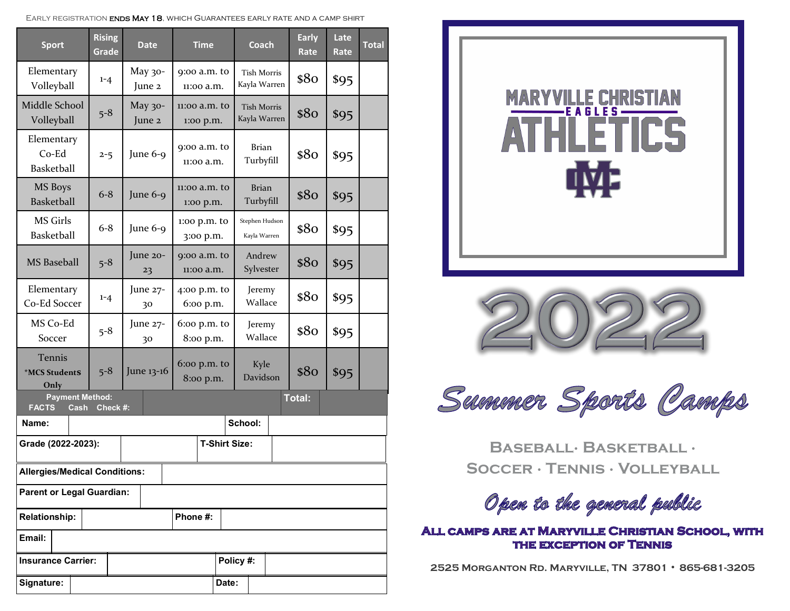| EARLY REGISTRATION <b>ENDS MAY 18.</b> WHICH GUARANTEES EARLY RATE AND A CAMP SHIRT |  |
|-------------------------------------------------------------------------------------|--|
|-------------------------------------------------------------------------------------|--|

| <b>Sport</b>                                                                | <b>Rising</b><br>Grade | <b>Date</b>          | <b>Time</b>                  |  | Coach                              |  | <b>Early</b><br>Rate | Late<br>Rate | <b>Total</b> |
|-----------------------------------------------------------------------------|------------------------|----------------------|------------------------------|--|------------------------------------|--|----------------------|--------------|--------------|
| Elementary<br>Volleyball                                                    | $1 - 4$                | May 30-<br>June 2    | 9:00 a.m. to<br>11:00 a.m.   |  | <b>Tish Morris</b><br>Kayla Warren |  | \$80                 | \$95         |              |
| Middle School<br>Volleyball                                                 | $5 - 8$                | May 30-<br>June 2    | 11:00 a.m. to<br>1:00 p.m.   |  | <b>Tish Morris</b><br>Kayla Warren |  | \$80                 | \$95         |              |
| Elementary<br>$Co-Ed$<br>Basketball                                         | $2 - 5$                | June 6-9             | 9:00 a.m. to<br>11:00 a.m.   |  | <b>Brian</b><br>Turbyfill          |  | \$80                 | \$95         |              |
| MS Boys<br>Basketball                                                       | $6 - 8$                | June 6-9             | $11:00$ a.m. to<br>1:00 p.m. |  | <b>Brian</b><br>Turbyfill          |  | \$80                 | \$95         |              |
| <b>MS Girls</b><br><b>Basketball</b>                                        | $6 - 8$                | June 6-9             | 1:00 p.m. to<br>3:00 p.m.    |  | Stephen Hudson<br>Kayla Warren     |  | \$80                 | \$95         |              |
| <b>MS</b> Baseball                                                          | $5 - 8$                | June 20-<br>23       | 9:00 a.m. to<br>11:00 a.m.   |  | Andrew<br>Sylvester                |  | \$80                 | \$95         |              |
| Elementary<br>Co-Ed Soccer                                                  | $1 - 4$                | June 27-<br>30       | 4:00 p.m. to<br>6:00 p.m.    |  | Jeremy<br>Wallace                  |  | \$80                 | \$95         |              |
| MS Co-Ed<br>Soccer                                                          | $5 - 8$                | June 27-<br>30       | $6:$ co p.m. to<br>8:00 p.m. |  | Jeremy<br>Wallace                  |  | \$80                 | \$95         |              |
| Tennis<br>*MCS StudentS<br>Only                                             | $5 - 8$                | June 13-16           | $6:$ co p.m. to<br>8:00 p.m. |  | Kyle<br>Davidson                   |  | \$80                 | \$95         |              |
| <b>Payment Method:</b><br><b>Total:</b><br><b>FACTS</b><br>Check #:<br>Cash |                        |                      |                              |  |                                    |  |                      |              |              |
| Name:                                                                       |                        | School:              |                              |  |                                    |  |                      |              |              |
| Grade (2022-2023):                                                          |                        | <b>T-Shirt Size:</b> |                              |  |                                    |  |                      |              |              |
| <b>Allergies/Medical Conditions:</b>                                        |                        |                      |                              |  |                                    |  |                      |              |              |
| <b>Parent or Legal Guardian:</b>                                            |                        |                      |                              |  |                                    |  |                      |              |              |
| Phone #:<br><b>Relationship:</b>                                            |                        |                      |                              |  |                                    |  |                      |              |              |
| Email:                                                                      |                        |                      |                              |  |                                    |  |                      |              |              |
| Policy #:<br><b>Insurance Carrier:</b>                                      |                        |                      |                              |  |                                    |  |                      |              |              |
| Signature:<br>Date:                                                         |                        |                      |                              |  |                                    |  |                      |              |              |





Summer Sports Camps

**Baseball∙ Basketball ∙ Soccer ∙ Tennis ∙ Volleyball** 

Open to the general public

ALL CAMPS ARE AT MARYVILLE CHRISTIAN SCHOOL, WITH THE EXCEPTION OF TENNIS

**2525 Morganton Rd. Maryville, TN 37801 ∙ 865-681-3205**